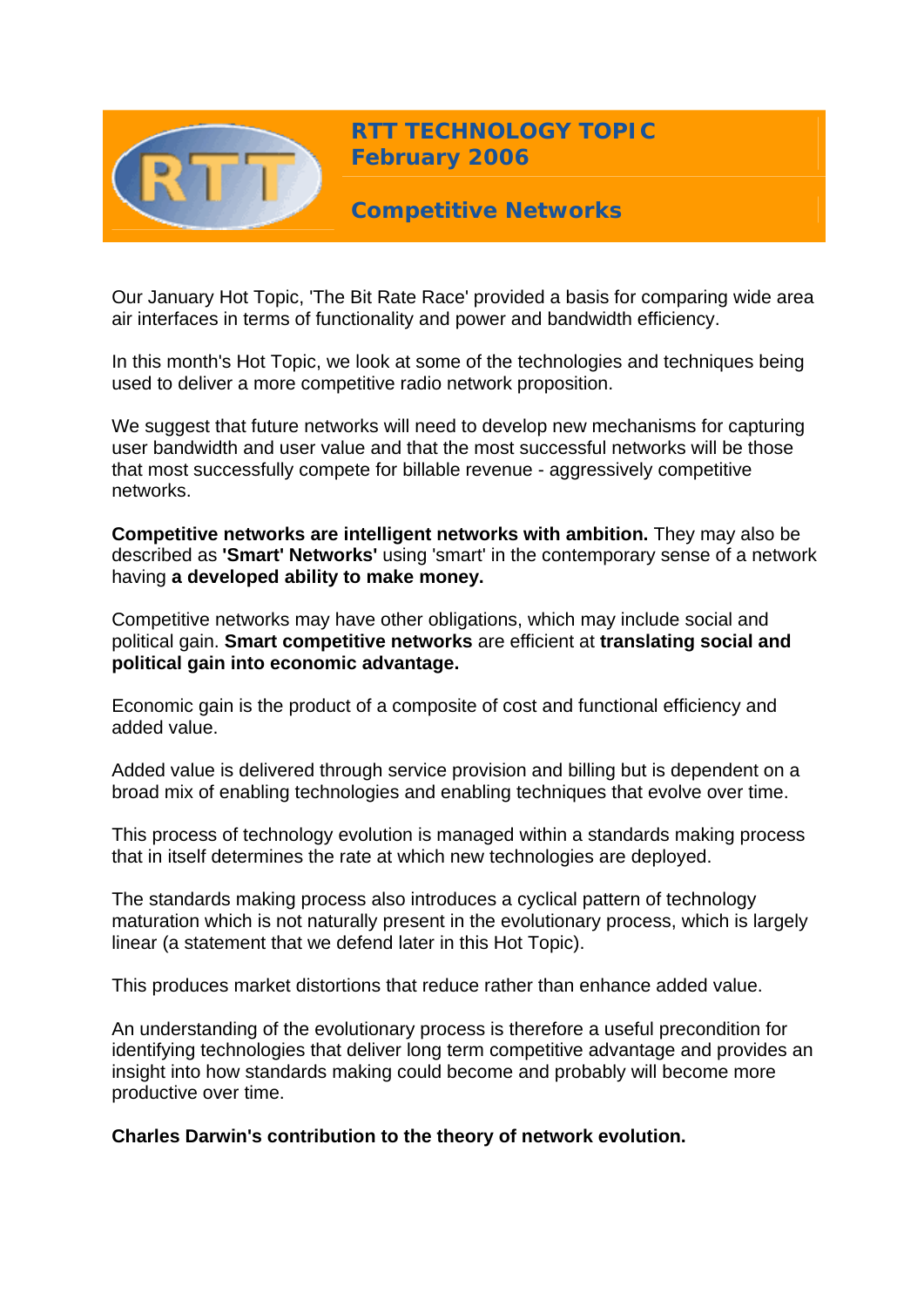

**RTT TECHNOLOGY TOPIC February 2006**

**Competitive Networks** 

Our January Hot Topic, 'The Bit Rate Race' provided a basis for comparing wide area air interfaces in terms of functionality and power and bandwidth efficiency.

In this month's Hot Topic, we look at some of the technologies and techniques being used to deliver a more competitive radio network proposition.

We suggest that future networks will need to develop new mechanisms for capturing user bandwidth and user value and that the most successful networks will be those that most successfully compete for billable revenue - aggressively competitive networks.

**Competitive networks are intelligent networks with ambition.** They may also be described as **'Smart' Networks'** using 'smart' in the contemporary sense of a network having **a developed ability to make money.**

Competitive networks may have other obligations, which may include social and political gain. **Smart competitive networks** are efficient at **translating social and political gain into economic advantage.**

Economic gain is the product of a composite of cost and functional efficiency and added value.

Added value is delivered through service provision and billing but is dependent on a broad mix of enabling technologies and enabling techniques that evolve over time.

This process of technology evolution is managed within a standards making process that in itself determines the rate at which new technologies are deployed.

The standards making process also introduces a cyclical pattern of technology maturation which is not naturally present in the evolutionary process, which is largely linear (a statement that we defend later in this Hot Topic).

This produces market distortions that reduce rather than enhance added value.

An understanding of the evolutionary process is therefore a useful precondition for identifying technologies that deliver long term competitive advantage and provides an insight into how standards making could become and probably will become more productive over time.

**Charles Darwin's contribution to the theory of network evolution.**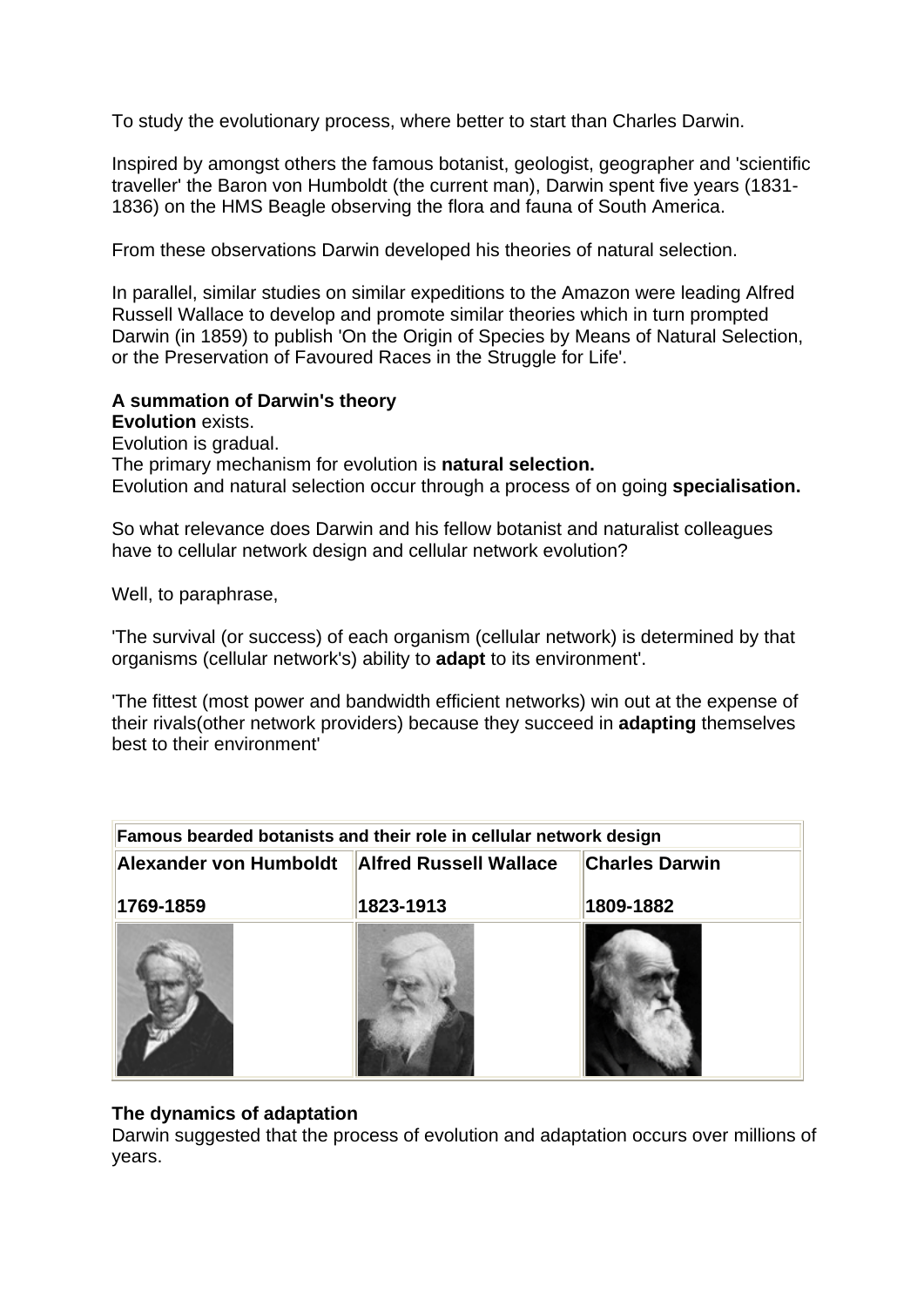To study the evolutionary process, where better to start than Charles Darwin.

Inspired by amongst others the famous botanist, geologist, geographer and 'scientific traveller' the Baron von Humboldt (the current man), Darwin spent five years (1831- 1836) on the HMS Beagle observing the flora and fauna of South America.

From these observations Darwin developed his theories of natural selection.

In parallel, similar studies on similar expeditions to the Amazon were leading Alfred Russell Wallace to develop and promote similar theories which in turn prompted Darwin (in 1859) to publish 'On the Origin of Species by Means of Natural Selection, or the Preservation of Favoured Races in the Struggle for Life'.

# **A summation of Darwin's theory**

**Evolution** exists.

Evolution is gradual.

The primary mechanism for evolution is **natural selection.**

Evolution and natural selection occur through a process of on going **specialisation.**

So what relevance does Darwin and his fellow botanist and naturalist colleagues have to cellular network design and cellular network evolution?

Well, to paraphrase,

'The survival (or success) of each organism (cellular network) is determined by that organisms (cellular network's) ability to **adapt** to its environment'.

'The fittest (most power and bandwidth efficient networks) win out at the expense of their rivals(other network providers) because they succeed in **adapting** themselves best to their environment'

| Alexander von Humboldt | <b>Alfred Russell Wallace</b> | <b>Charles Darwin</b> |
|------------------------|-------------------------------|-----------------------|
| 1769-1859              | 1823-1913                     | 1809-1882             |
|                        |                               |                       |
|                        |                               |                       |
|                        |                               |                       |
|                        |                               |                       |

# **The dynamics of adaptation**

Darwin suggested that the process of evolution and adaptation occurs over millions of years.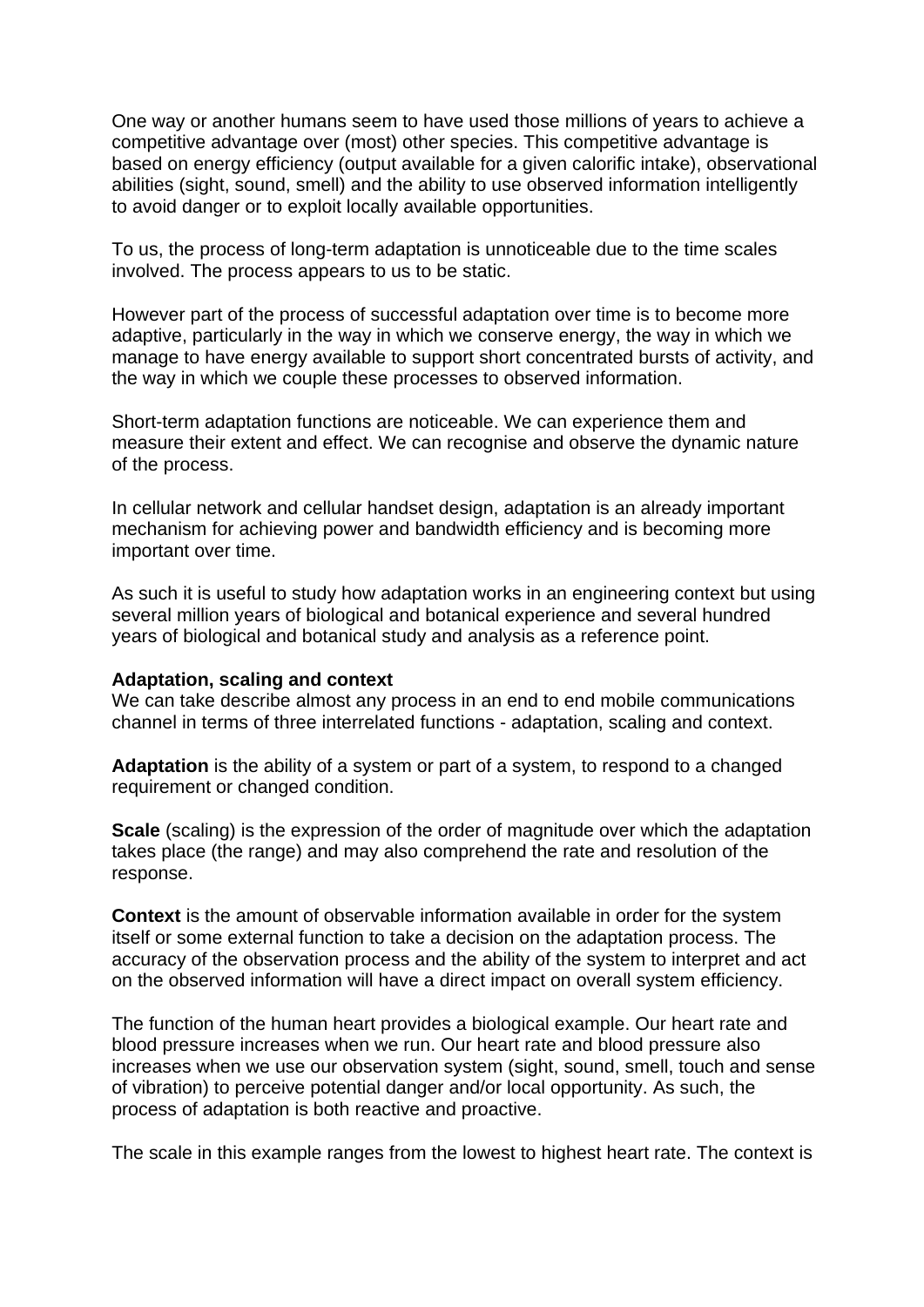One way or another humans seem to have used those millions of years to achieve a competitive advantage over (most) other species. This competitive advantage is based on energy efficiency (output available for a given calorific intake), observational abilities (sight, sound, smell) and the ability to use observed information intelligently to avoid danger or to exploit locally available opportunities.

To us, the process of long-term adaptation is unnoticeable due to the time scales involved. The process appears to us to be static.

However part of the process of successful adaptation over time is to become more adaptive, particularly in the way in which we conserve energy, the way in which we manage to have energy available to support short concentrated bursts of activity, and the way in which we couple these processes to observed information.

Short-term adaptation functions are noticeable. We can experience them and measure their extent and effect. We can recognise and observe the dynamic nature of the process.

In cellular network and cellular handset design, adaptation is an already important mechanism for achieving power and bandwidth efficiency and is becoming more important over time.

As such it is useful to study how adaptation works in an engineering context but using several million years of biological and botanical experience and several hundred years of biological and botanical study and analysis as a reference point.

#### **Adaptation, scaling and context**

We can take describe almost any process in an end to end mobile communications channel in terms of three interrelated functions - adaptation, scaling and context.

**Adaptation** is the ability of a system or part of a system, to respond to a changed requirement or changed condition.

**Scale** (scaling) is the expression of the order of magnitude over which the adaptation takes place (the range) and may also comprehend the rate and resolution of the response.

**Context** is the amount of observable information available in order for the system itself or some external function to take a decision on the adaptation process. The accuracy of the observation process and the ability of the system to interpret and act on the observed information will have a direct impact on overall system efficiency.

The function of the human heart provides a biological example. Our heart rate and blood pressure increases when we run. Our heart rate and blood pressure also increases when we use our observation system (sight, sound, smell, touch and sense of vibration) to perceive potential danger and/or local opportunity. As such, the process of adaptation is both reactive and proactive.

The scale in this example ranges from the lowest to highest heart rate. The context is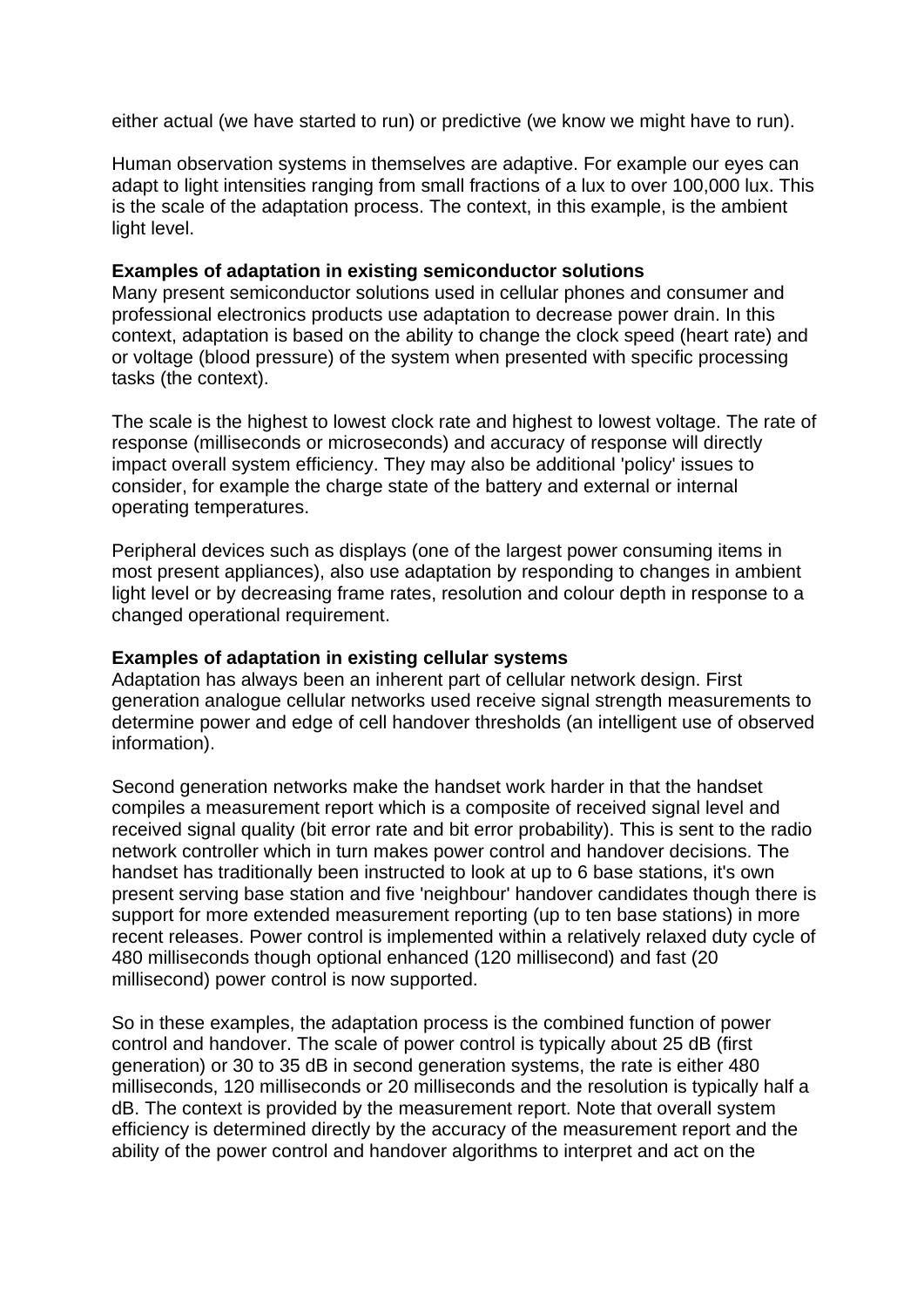either actual (we have started to run) or predictive (we know we might have to run).

Human observation systems in themselves are adaptive. For example our eyes can adapt to light intensities ranging from small fractions of a lux to over 100,000 lux. This is the scale of the adaptation process. The context, in this example, is the ambient light level.

### **Examples of adaptation in existing semiconductor solutions**

Many present semiconductor solutions used in cellular phones and consumer and professional electronics products use adaptation to decrease power drain. In this context, adaptation is based on the ability to change the clock speed (heart rate) and or voltage (blood pressure) of the system when presented with specific processing tasks (the context).

The scale is the highest to lowest clock rate and highest to lowest voltage. The rate of response (milliseconds or microseconds) and accuracy of response will directly impact overall system efficiency. They may also be additional 'policy' issues to consider, for example the charge state of the battery and external or internal operating temperatures.

Peripheral devices such as displays (one of the largest power consuming items in most present appliances), also use adaptation by responding to changes in ambient light level or by decreasing frame rates, resolution and colour depth in response to a changed operational requirement.

### **Examples of adaptation in existing cellular systems**

Adaptation has always been an inherent part of cellular network design. First generation analogue cellular networks used receive signal strength measurements to determine power and edge of cell handover thresholds (an intelligent use of observed information).

Second generation networks make the handset work harder in that the handset compiles a measurement report which is a composite of received signal level and received signal quality (bit error rate and bit error probability). This is sent to the radio network controller which in turn makes power control and handover decisions. The handset has traditionally been instructed to look at up to 6 base stations, it's own present serving base station and five 'neighbour' handover candidates though there is support for more extended measurement reporting (up to ten base stations) in more recent releases. Power control is implemented within a relatively relaxed duty cycle of 480 milliseconds though optional enhanced (120 millisecond) and fast (20 millisecond) power control is now supported.

So in these examples, the adaptation process is the combined function of power control and handover. The scale of power control is typically about 25 dB (first generation) or 30 to 35 dB in second generation systems, the rate is either 480 milliseconds, 120 milliseconds or 20 milliseconds and the resolution is typically half a dB. The context is provided by the measurement report. Note that overall system efficiency is determined directly by the accuracy of the measurement report and the ability of the power control and handover algorithms to interpret and act on the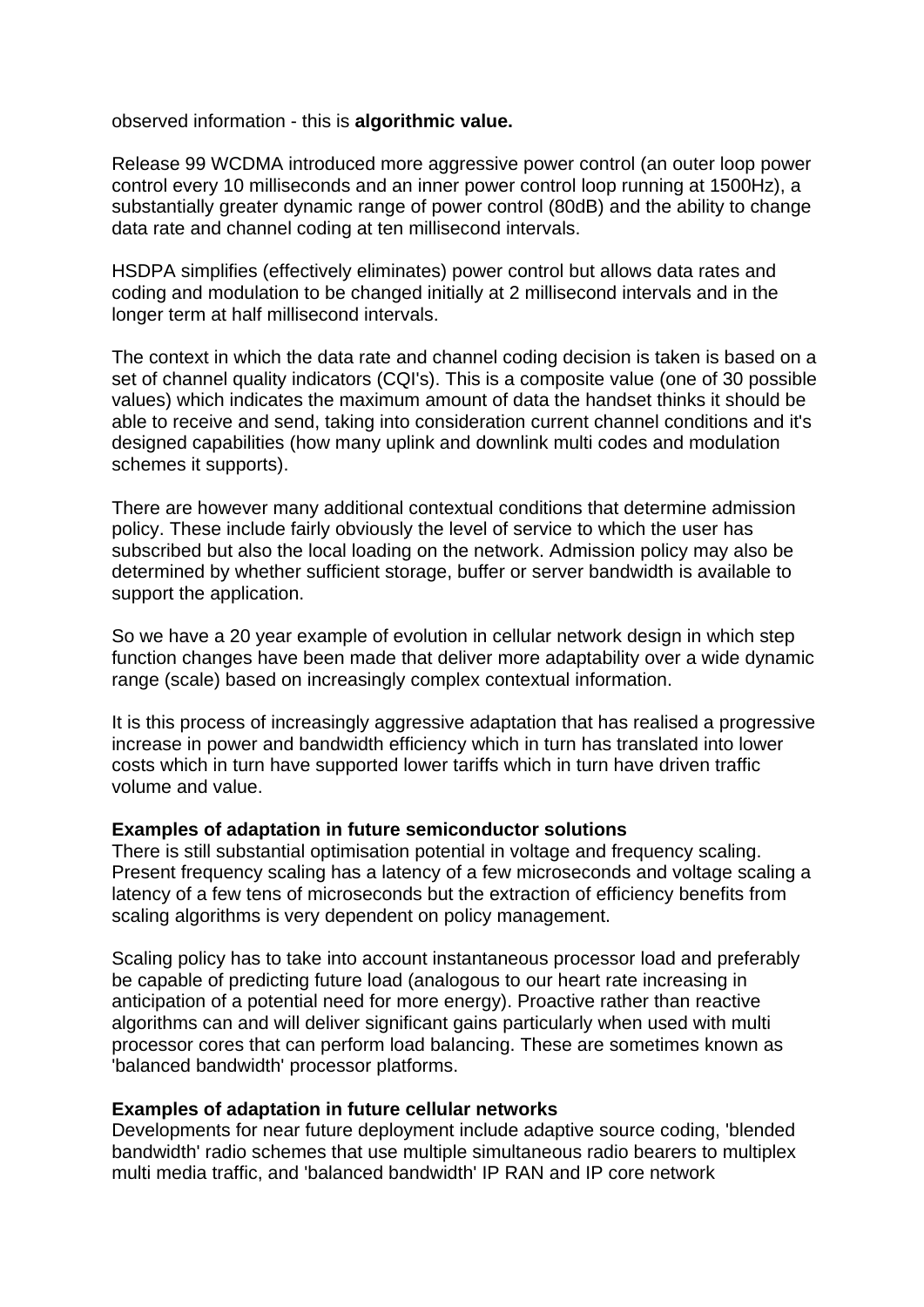observed information - this is **algorithmic value.**

Release 99 WCDMA introduced more aggressive power control (an outer loop power control every 10 milliseconds and an inner power control loop running at 1500Hz), a substantially greater dynamic range of power control (80dB) and the ability to change data rate and channel coding at ten millisecond intervals.

HSDPA simplifies (effectively eliminates) power control but allows data rates and coding and modulation to be changed initially at 2 millisecond intervals and in the longer term at half millisecond intervals.

The context in which the data rate and channel coding decision is taken is based on a set of channel quality indicators (CQI's). This is a composite value (one of 30 possible values) which indicates the maximum amount of data the handset thinks it should be able to receive and send, taking into consideration current channel conditions and it's designed capabilities (how many uplink and downlink multi codes and modulation schemes it supports).

There are however many additional contextual conditions that determine admission policy. These include fairly obviously the level of service to which the user has subscribed but also the local loading on the network. Admission policy may also be determined by whether sufficient storage, buffer or server bandwidth is available to support the application.

So we have a 20 year example of evolution in cellular network design in which step function changes have been made that deliver more adaptability over a wide dynamic range (scale) based on increasingly complex contextual information.

It is this process of increasingly aggressive adaptation that has realised a progressive increase in power and bandwidth efficiency which in turn has translated into lower costs which in turn have supported lower tariffs which in turn have driven traffic volume and value.

# **Examples of adaptation in future semiconductor solutions**

There is still substantial optimisation potential in voltage and frequency scaling. Present frequency scaling has a latency of a few microseconds and voltage scaling a latency of a few tens of microseconds but the extraction of efficiency benefits from scaling algorithms is very dependent on policy management.

Scaling policy has to take into account instantaneous processor load and preferably be capable of predicting future load (analogous to our heart rate increasing in anticipation of a potential need for more energy). Proactive rather than reactive algorithms can and will deliver significant gains particularly when used with multi processor cores that can perform load balancing. These are sometimes known as 'balanced bandwidth' processor platforms.

# **Examples of adaptation in future cellular networks**

Developments for near future deployment include adaptive source coding, 'blended bandwidth' radio schemes that use multiple simultaneous radio bearers to multiplex multi media traffic, and 'balanced bandwidth' IP RAN and IP core network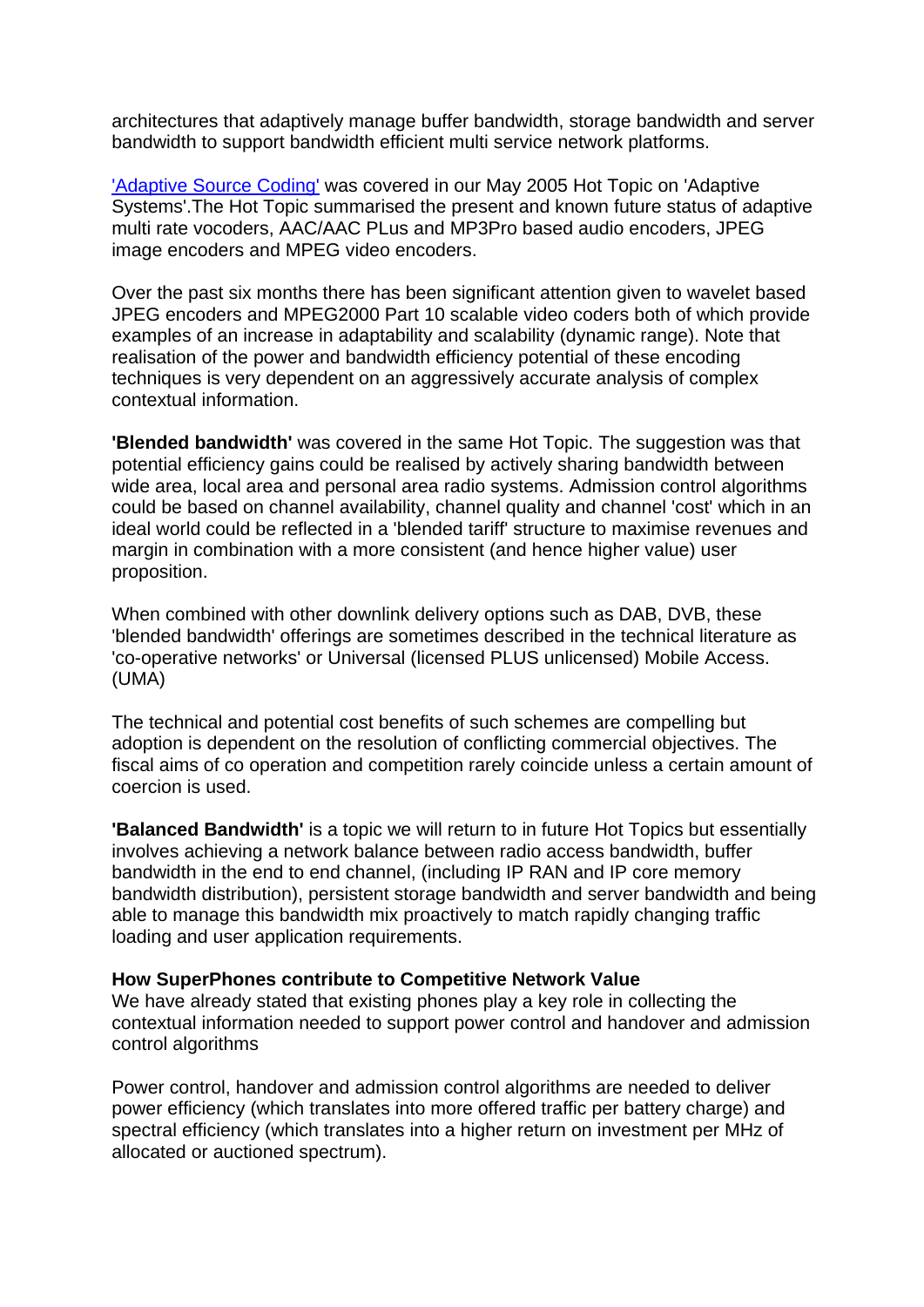architectures that adaptively manage buffer bandwidth, storage bandwidth and server bandwidth to support bandwidth efficient multi service network platforms.

['Adaptive Source Coding'](http://www.rttonline.com/HotTopics/HT_May05e.htm) was covered in our May 2005 Hot Topic on 'Adaptive Systems'.The Hot Topic summarised the present and known future status of adaptive multi rate vocoders, AAC/AAC PLus and MP3Pro based audio encoders, JPEG image encoders and MPEG video encoders.

Over the past six months there has been significant attention given to wavelet based JPEG encoders and MPEG2000 Part 10 scalable video coders both of which provide examples of an increase in adaptability and scalability (dynamic range). Note that realisation of the power and bandwidth efficiency potential of these encoding techniques is very dependent on an aggressively accurate analysis of complex contextual information.

**'Blended bandwidth'** was covered in the same Hot Topic. The suggestion was that potential efficiency gains could be realised by actively sharing bandwidth between wide area, local area and personal area radio systems. Admission control algorithms could be based on channel availability, channel quality and channel 'cost' which in an ideal world could be reflected in a 'blended tariff' structure to maximise revenues and margin in combination with a more consistent (and hence higher value) user proposition.

When combined with other downlink delivery options such as DAB, DVB, these 'blended bandwidth' offerings are sometimes described in the technical literature as 'co-operative networks' or Universal (licensed PLUS unlicensed) Mobile Access. (UMA)

The technical and potential cost benefits of such schemes are compelling but adoption is dependent on the resolution of conflicting commercial objectives. The fiscal aims of co operation and competition rarely coincide unless a certain amount of coercion is used.

**'Balanced Bandwidth'** is a topic we will return to in future Hot Topics but essentially involves achieving a network balance between radio access bandwidth, buffer bandwidth in the end to end channel, (including IP RAN and IP core memory bandwidth distribution), persistent storage bandwidth and server bandwidth and being able to manage this bandwidth mix proactively to match rapidly changing traffic loading and user application requirements.

# **How SuperPhones contribute to Competitive Network Value**

We have already stated that existing phones play a key role in collecting the contextual information needed to support power control and handover and admission control algorithms

Power control, handover and admission control algorithms are needed to deliver power efficiency (which translates into more offered traffic per battery charge) and spectral efficiency (which translates into a higher return on investment per MHz of allocated or auctioned spectrum).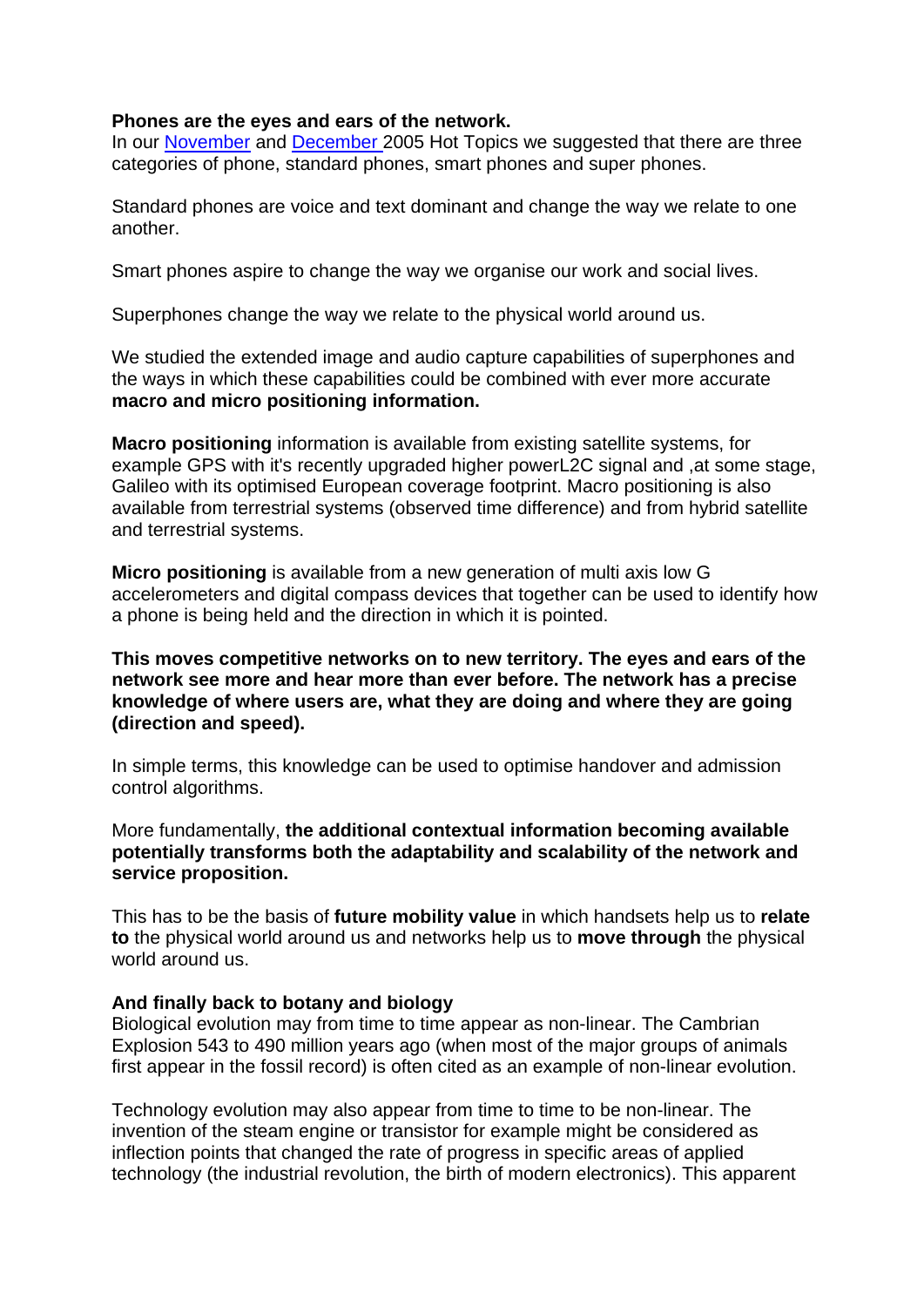### **Phones are the eyes and ears of the network.**

In our [November](http://www.rttonline.com/HotTopics/HT_Nov05e.htm) and [December 2](http://www.rttonline.com/HotTopics/HT_Dec05e.htm)005 Hot Topics we suggested that there are three categories of phone, standard phones, smart phones and super phones.

Standard phones are voice and text dominant and change the way we relate to one another.

Smart phones aspire to change the way we organise our work and social lives.

Superphones change the way we relate to the physical world around us.

We studied the extended image and audio capture capabilities of superphones and the ways in which these capabilities could be combined with ever more accurate **macro and micro positioning information.**

**Macro positioning** information is available from existing satellite systems, for example GPS with it's recently upgraded higher powerL2C signal and ,at some stage, Galileo with its optimised European coverage footprint. Macro positioning is also available from terrestrial systems (observed time difference) and from hybrid satellite and terrestrial systems.

**Micro positioning** is available from a new generation of multi axis low G accelerometers and digital compass devices that together can be used to identify how a phone is being held and the direction in which it is pointed.

# **This moves competitive networks on to new territory. The eyes and ears of the network see more and hear more than ever before. The network has a precise knowledge of where users are, what they are doing and where they are going (direction and speed).**

In simple terms, this knowledge can be used to optimise handover and admission control algorithms.

More fundamentally, **the additional contextual information becoming available potentially transforms both the adaptability and scalability of the network and service proposition.**

This has to be the basis of **future mobility value** in which handsets help us to **relate to** the physical world around us and networks help us to **move through** the physical world around us.

# **And finally back to botany and biology**

Biological evolution may from time to time appear as non-linear. The Cambrian Explosion 543 to 490 million years ago (when most of the major groups of animals first appear in the fossil record) is often cited as an example of non-linear evolution.

Technology evolution may also appear from time to time to be non-linear. The invention of the steam engine or transistor for example might be considered as inflection points that changed the rate of progress in specific areas of applied technology (the industrial revolution, the birth of modern electronics). This apparent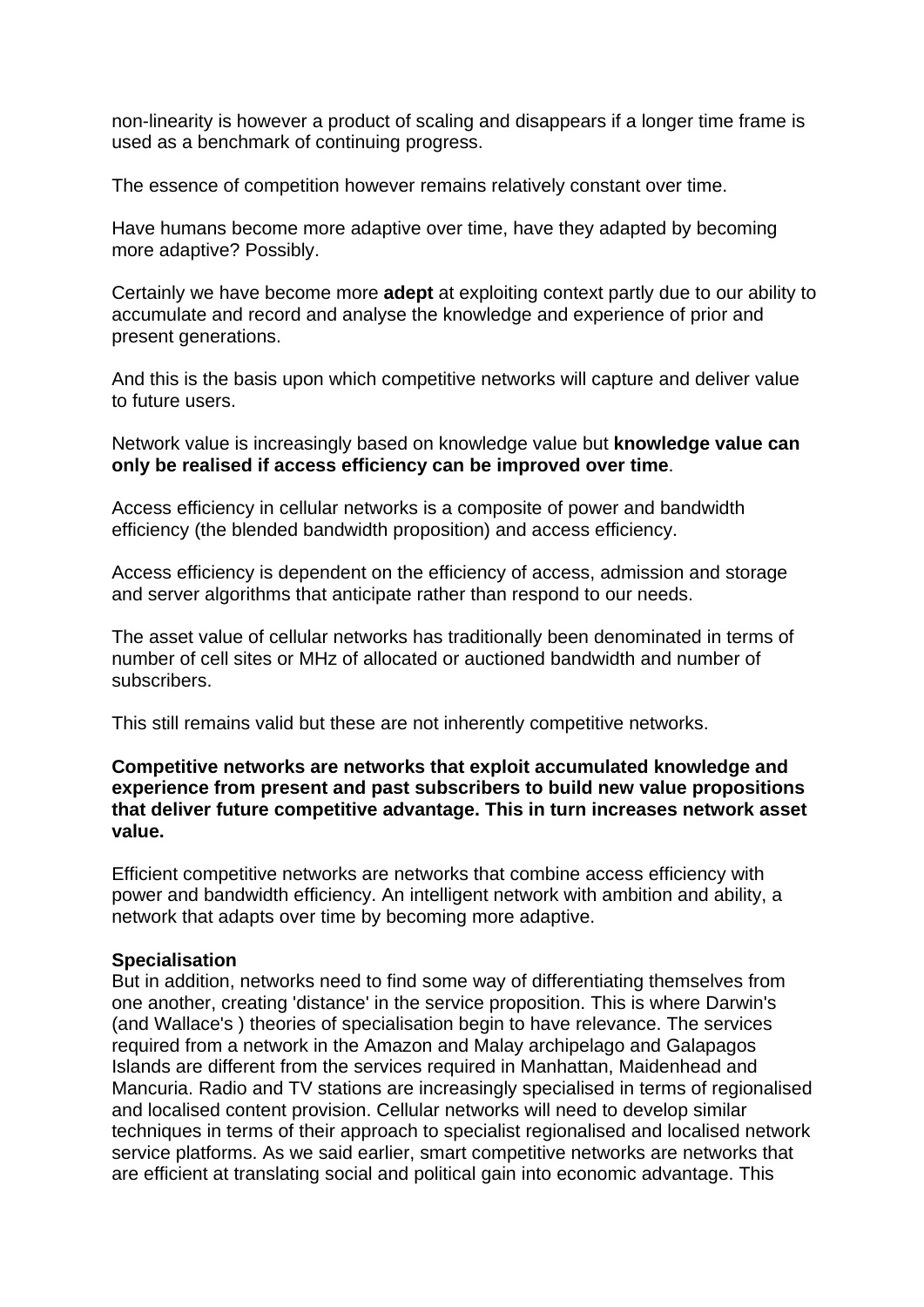non-linearity is however a product of scaling and disappears if a longer time frame is used as a benchmark of continuing progress.

The essence of competition however remains relatively constant over time.

Have humans become more adaptive over time, have they adapted by becoming more adaptive? Possibly.

Certainly we have become more **adept** at exploiting context partly due to our ability to accumulate and record and analyse the knowledge and experience of prior and present generations.

And this is the basis upon which competitive networks will capture and deliver value to future users.

Network value is increasingly based on knowledge value but **knowledge value can only be realised if access efficiency can be improved over time**.

Access efficiency in cellular networks is a composite of power and bandwidth efficiency (the blended bandwidth proposition) and access efficiency.

Access efficiency is dependent on the efficiency of access, admission and storage and server algorithms that anticipate rather than respond to our needs.

The asset value of cellular networks has traditionally been denominated in terms of number of cell sites or MHz of allocated or auctioned bandwidth and number of subscribers.

This still remains valid but these are not inherently competitive networks.

**Competitive networks are networks that exploit accumulated knowledge and experience from present and past subscribers to build new value propositions that deliver future competitive advantage. This in turn increases network asset value.**

Efficient competitive networks are networks that combine access efficiency with power and bandwidth efficiency. An intelligent network with ambition and ability, a network that adapts over time by becoming more adaptive.

# **Specialisation**

But in addition, networks need to find some way of differentiating themselves from one another, creating 'distance' in the service proposition. This is where Darwin's (and Wallace's ) theories of specialisation begin to have relevance. The services required from a network in the Amazon and Malay archipelago and Galapagos Islands are different from the services required in Manhattan, Maidenhead and Mancuria. Radio and TV stations are increasingly specialised in terms of regionalised and localised content provision. Cellular networks will need to develop similar techniques in terms of their approach to specialist regionalised and localised network service platforms. As we said earlier, smart competitive networks are networks that are efficient at translating social and political gain into economic advantage. This